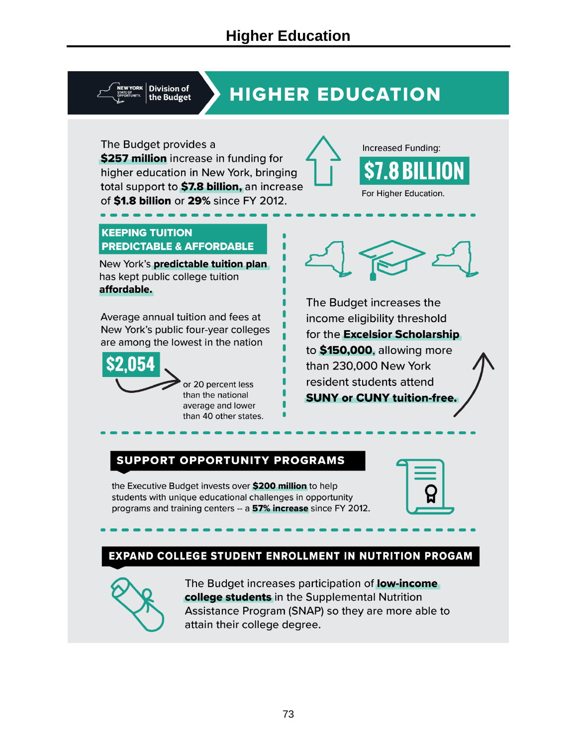**Division of** the Budget

# **HIGHER EDUCATION**

The Budget provides a \$257 million increase in funding for higher education in New York, bringing total support to \$7.8 billion, an increase of \$1.8 billion or 29% since FY 2012.



#### **KEEPING TUITION PREDICTABLE & AFFORDABLE**

New York's predictable tuition plan has kept public college tuition affordable.

Average annual tuition and fees at New York's public four-year colleges are among the lowest in the nation



or 20 percent less than the national average and lower than 40 other states.



The Budget increases the income eligibility threshold for the **Excelsior Scholarship** to \$150,000, allowing more than 230,000 New York resident students attend **SUNY or CUNY tuition-free.** 

#### SUPPORT OPPORTUNITY PROGRAMS

the Executive Budget invests over \$200 million to help students with unique educational challenges in opportunity programs and training centers -- a 57% increase since FY 2012.

#### EXPAND COLLEGE STUDENT ENROLLMENT IN NUTRITION PROGAM



The Budget increases participation of **low-income** college students in the Supplemental Nutrition Assistance Program (SNAP) so they are more able to attain their college degree.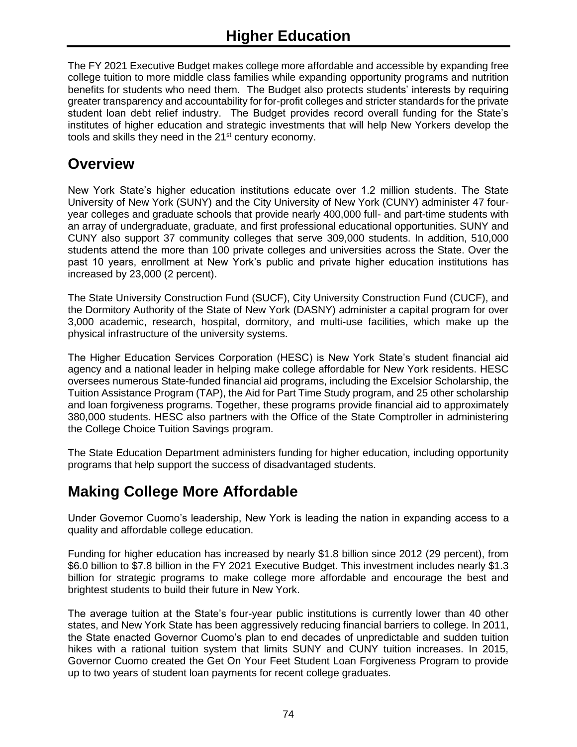The FY 2021 Executive Budget makes college more affordable and accessible by expanding free college tuition to more middle class families while expanding opportunity programs and nutrition benefits for students who need them. The Budget also protects students' interests by requiring greater transparency and accountability for for-profit colleges and stricter standards for the private student loan debt relief industry. The Budget provides record overall funding for the State's institutes of higher education and strategic investments that will help New Yorkers develop the tools and skills they need in the 21<sup>st</sup> century economy.

### **Overview**

New York State's higher education institutions educate over 1.2 million students. The State University of New York (SUNY) and the City University of New York (CUNY) administer 47 fouryear colleges and graduate schools that provide nearly 400,000 full- and part-time students with an array of undergraduate, graduate, and first professional educational opportunities. SUNY and CUNY also support 37 community colleges that serve 309,000 students. In addition, 510,000 students attend the more than 100 private colleges and universities across the State. Over the past 10 years, enrollment at New York's public and private higher education institutions has increased by 23,000 (2 percent).

The State University Construction Fund (SUCF), City University Construction Fund (CUCF), and the Dormitory Authority of the State of New York (DASNY) administer a capital program for over 3,000 academic, research, hospital, dormitory, and multi-use facilities, which make up the physical infrastructure of the university systems.

The Higher Education Services Corporation (HESC) is New York State's student financial aid agency and a national leader in helping make college affordable for New York residents. HESC oversees numerous State-funded financial aid programs, including the Excelsior Scholarship, the Tuition Assistance Program (TAP), the Aid for Part Time Study program, and 25 other scholarship and loan forgiveness programs. Together, these programs provide financial aid to approximately 380,000 students. HESC also partners with the Office of the State Comptroller in administering the College Choice Tuition Savings program.

The State Education Department administers funding for higher education, including opportunity programs that help support the success of disadvantaged students.

# **Making College More Affordable**

Under Governor Cuomo's leadership, New York is leading the nation in expanding access to a quality and affordable college education.

Funding for higher education has increased by nearly \$1.8 billion since 2012 (29 percent), from \$6.0 billion to \$7.8 billion in the FY 2021 Executive Budget. This investment includes nearly \$1.3 billion for strategic programs to make college more affordable and encourage the best and brightest students to build their future in New York.

The average tuition at the State's four-year public institutions is currently lower than 40 other states, and New York State has been aggressively reducing financial barriers to college. In 2011, the State enacted Governor Cuomo's plan to end decades of unpredictable and sudden tuition hikes with a rational tuition system that limits SUNY and CUNY tuition increases. In 2015, Governor Cuomo created the Get On Your Feet Student Loan Forgiveness Program to provide up to two years of student loan payments for recent college graduates.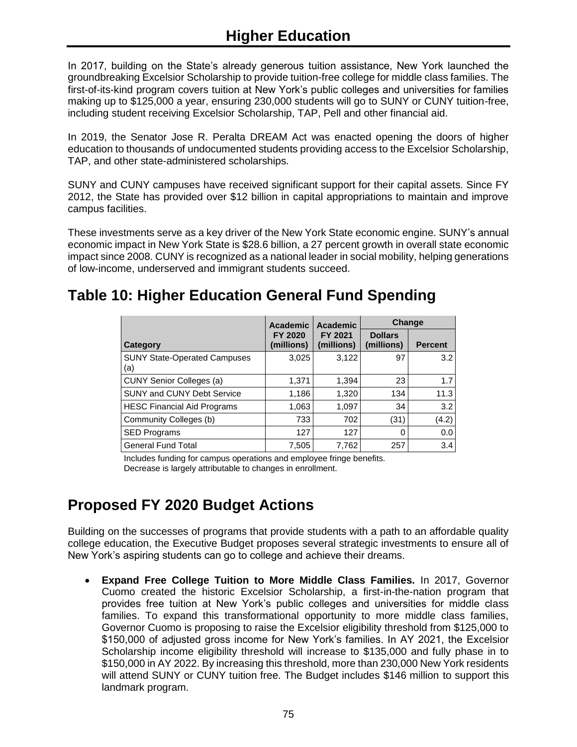In 2017, building on the State's already generous tuition assistance, New York launched the groundbreaking Excelsior Scholarship to provide tuition-free college for middle class families. The first-of-its-kind program covers tuition at New York's public colleges and universities for families making up to \$125,000 a year, ensuring 230,000 students will go to SUNY or CUNY tuition-free, including student receiving Excelsior Scholarship, TAP, Pell and other financial aid.

In 2019, the Senator Jose R. Peralta DREAM Act was enacted opening the doors of higher education to thousands of undocumented students providing access to the Excelsior Scholarship, TAP, and other state-administered scholarships.

SUNY and CUNY campuses have received significant support for their capital assets. Since FY 2012, the State has provided over \$12 billion in capital appropriations to maintain and improve campus facilities.

These investments serve as a key driver of the New York State economic engine. SUNY's annual economic impact in New York State is \$28.6 billion, a 27 percent growth in overall state economic impact since 2008. CUNY is recognized as a national leader in social mobility, helping generations of low-income, underserved and immigrant students succeed.

## **Table 10: Higher Education General Fund Spending**

|                                            | Academic<br>FY 2020<br>(millions) | Academic<br>FY 2021<br>(millions) | Change                       |                |
|--------------------------------------------|-----------------------------------|-----------------------------------|------------------------------|----------------|
| Category                                   |                                   |                                   | <b>Dollars</b><br>(millions) | <b>Percent</b> |
| <b>SUNY State-Operated Campuses</b><br>(a) | 3,025                             | 3,122                             | 97                           | 3.2            |
| <b>CUNY Senior Colleges (a)</b>            | 1,371                             | 1,394                             | 23                           | 1.7            |
| SUNY and CUNY Debt Service                 | 1,186                             | 1,320                             | 134                          | 11.3           |
| <b>HESC Financial Aid Programs</b>         | 1,063                             | 1,097                             | 34                           | 3.2            |
| Community Colleges (b)                     | 733                               | 702                               | (31)                         | (4.2)          |
| <b>SED Programs</b>                        | 127                               | 127                               |                              | 0.0            |
| <b>General Fund Total</b>                  | 7,505                             | 7.762                             | 257                          | 3.4            |

Includes funding for campus operations and employee fringe benefits. Decrease is largely attributable to changes in enrollment.

# **Proposed FY 2020 Budget Actions**

Building on the successes of programs that provide students with a path to an affordable quality college education, the Executive Budget proposes several strategic investments to ensure all of New York's aspiring students can go to college and achieve their dreams.

• **Expand Free College Tuition to More Middle Class Families.** In 2017, Governor Cuomo created the historic Excelsior Scholarship, a first-in-the-nation program that provides free tuition at New York's public colleges and universities for middle class families. To expand this transformational opportunity to more middle class families, Governor Cuomo is proposing to raise the Excelsior eligibility threshold from \$125,000 to \$150,000 of adjusted gross income for New York's families. In AY 2021, the Excelsior Scholarship income eligibility threshold will increase to \$135,000 and fully phase in to \$150,000 in AY 2022. By increasing this threshold, more than 230,000 New York residents will attend SUNY or CUNY tuition free. The Budget includes \$146 million to support this landmark program.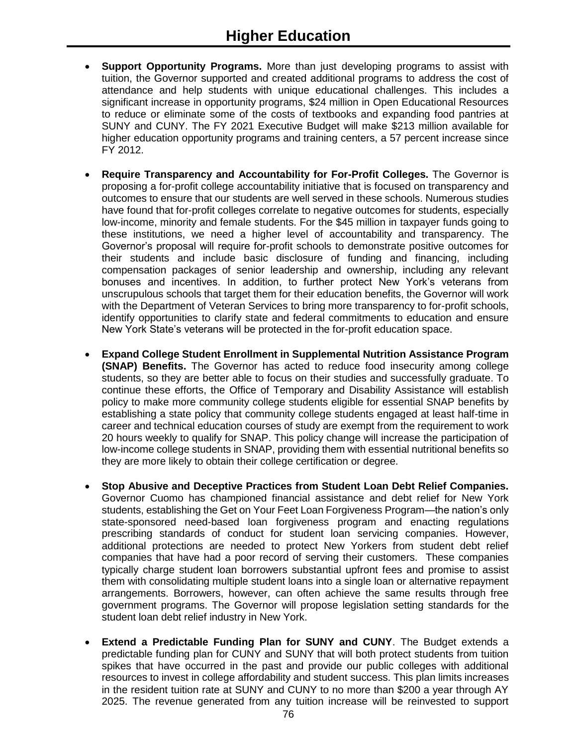- **Support Opportunity Programs.** More than just developing programs to assist with tuition, the Governor supported and created additional programs to address the cost of attendance and help students with unique educational challenges. This includes a significant increase in opportunity programs, \$24 million in Open Educational Resources to reduce or eliminate some of the costs of textbooks and expanding food pantries at SUNY and CUNY. The FY 2021 Executive Budget will make \$213 million available for higher education opportunity programs and training centers, a 57 percent increase since FY 2012.
- **Require Transparency and Accountability for For-Profit Colleges.** The Governor is proposing a for-profit college accountability initiative that is focused on transparency and outcomes to ensure that our students are well served in these schools. Numerous studies have found that for-profit colleges correlate to negative outcomes for students, especially low-income, minority and female students. For the \$45 million in taxpayer funds going to these institutions, we need a higher level of accountability and transparency. The Governor's proposal will require for-profit schools to demonstrate positive outcomes for their students and include basic disclosure of funding and financing, including compensation packages of senior leadership and ownership, including any relevant bonuses and incentives. In addition, to further protect New York's veterans from unscrupulous schools that target them for their education benefits, the Governor will work with the Department of Veteran Services to bring more transparency to for-profit schools, identify opportunities to clarify state and federal commitments to education and ensure New York State's veterans will be protected in the for-profit education space.
- **Expand College Student Enrollment in Supplemental Nutrition Assistance Program (SNAP) Benefits.** The Governor has acted to reduce food insecurity among college students, so they are better able to focus on their studies and successfully graduate. To continue these efforts, the Office of Temporary and Disability Assistance will establish policy to make more community college students eligible for essential SNAP benefits by establishing a state policy that community college students engaged at least half-time in career and technical education courses of study are exempt from the requirement to work 20 hours weekly to qualify for SNAP. This policy change will increase the participation of low-income college students in SNAP, providing them with essential nutritional benefits so they are more likely to obtain their college certification or degree.
- **Stop Abusive and Deceptive Practices from Student Loan Debt Relief Companies.** Governor Cuomo has championed financial assistance and debt relief for New York students, establishing the Get on Your Feet Loan Forgiveness Program—the nation's only state-sponsored need-based loan forgiveness program and enacting regulations prescribing standards of conduct for student loan servicing companies. However, additional protections are needed to protect New Yorkers from student debt relief companies that have had a poor record of serving their customers. These companies typically charge student loan borrowers substantial upfront fees and promise to assist them with consolidating multiple student loans into a single loan or alternative repayment arrangements. Borrowers, however, can often achieve the same results through free government programs. The Governor will propose legislation setting standards for the student loan debt relief industry in New York.
- **Extend a Predictable Funding Plan for SUNY and CUNY**. The Budget extends a predictable funding plan for CUNY and SUNY that will both protect students from tuition spikes that have occurred in the past and provide our public colleges with additional resources to invest in college affordability and student success. This plan limits increases in the resident tuition rate at SUNY and CUNY to no more than \$200 a year through AY 2025. The revenue generated from any tuition increase will be reinvested to support